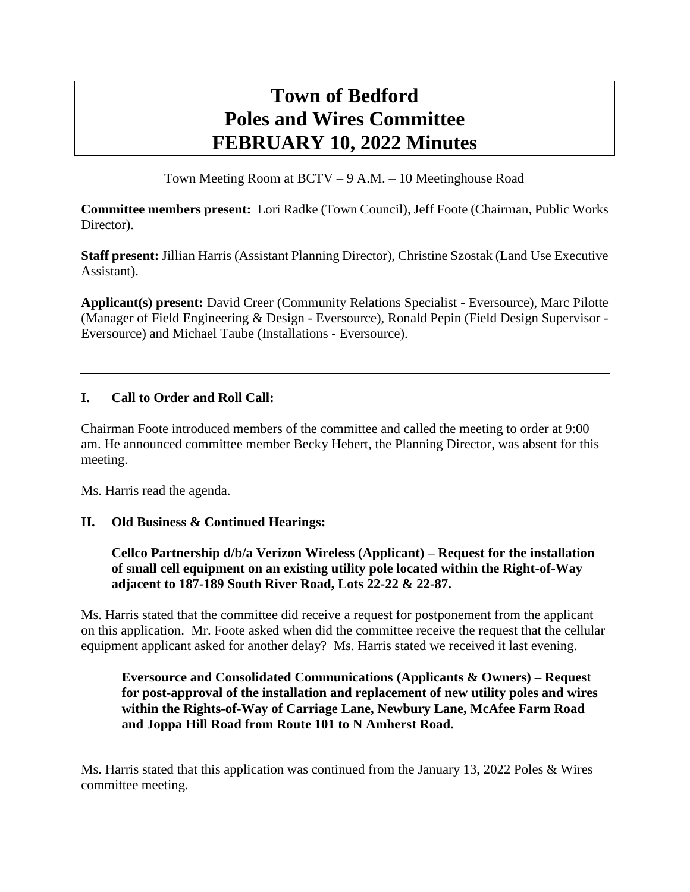# **Town of Bedford Poles and Wires Committee FEBRUARY 10, 2022 Minutes**

Town Meeting Room at BCTV – 9 A.M. – 10 Meetinghouse Road

**Committee members present:** Lori Radke (Town Council), Jeff Foote (Chairman, Public Works Director).

**Staff present:** Jillian Harris (Assistant Planning Director), Christine Szostak (Land Use Executive Assistant).

**Applicant(s) present:** David Creer (Community Relations Specialist - Eversource), Marc Pilotte (Manager of Field Engineering & Design - Eversource), Ronald Pepin (Field Design Supervisor - Eversource) and Michael Taube (Installations - Eversource).

# **I. Call to Order and Roll Call:**

Chairman Foote introduced members of the committee and called the meeting to order at 9:00 am. He announced committee member Becky Hebert, the Planning Director, was absent for this meeting.

Ms. Harris read the agenda.

#### **II. Old Business & Continued Hearings:**

**Cellco Partnership d/b/a Verizon Wireless (Applicant) – Request for the installation of small cell equipment on an existing utility pole located within the Right-of-Way adjacent to 187-189 South River Road, Lots 22-22 & 22-87.**

Ms. Harris stated that the committee did receive a request for postponement from the applicant on this application. Mr. Foote asked when did the committee receive the request that the cellular equipment applicant asked for another delay? Ms. Harris stated we received it last evening.

## **Eversource and Consolidated Communications (Applicants & Owners) – Request for post-approval of the installation and replacement of new utility poles and wires within the Rights-of-Way of Carriage Lane, Newbury Lane, McAfee Farm Road and Joppa Hill Road from Route 101 to N Amherst Road.**

Ms. Harris stated that this application was continued from the January 13, 2022 Poles & Wires committee meeting.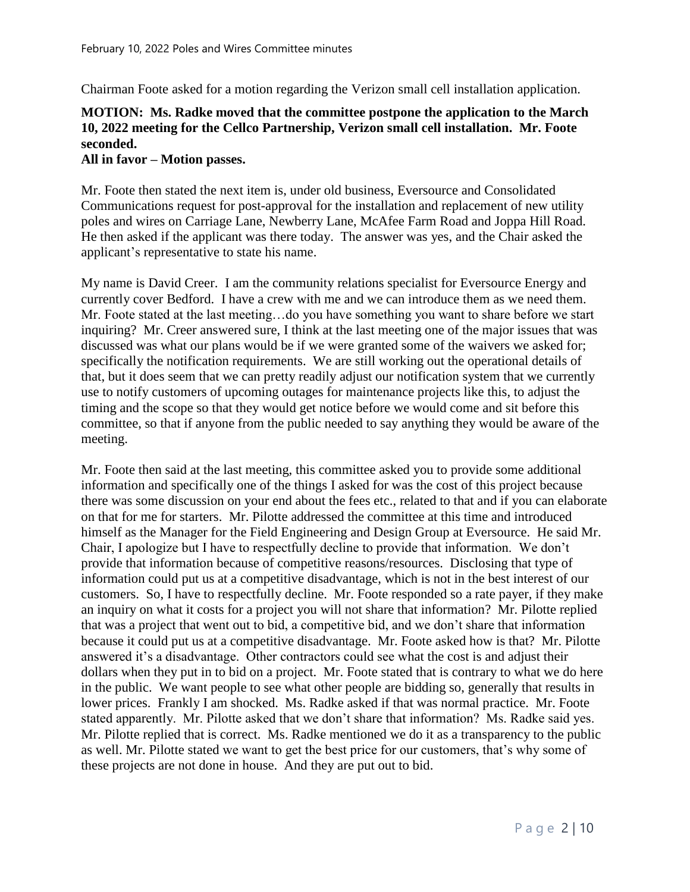Chairman Foote asked for a motion regarding the Verizon small cell installation application.

# **MOTION: Ms. Radke moved that the committee postpone the application to the March 10, 2022 meeting for the Cellco Partnership, Verizon small cell installation. Mr. Foote seconded.**

#### **All in favor – Motion passes.**

Mr. Foote then stated the next item is, under old business, Eversource and Consolidated Communications request for post-approval for the installation and replacement of new utility poles and wires on Carriage Lane, Newberry Lane, McAfee Farm Road and Joppa Hill Road. He then asked if the applicant was there today. The answer was yes, and the Chair asked the applicant's representative to state his name.

My name is David Creer. I am the community relations specialist for Eversource Energy and currently cover Bedford. I have a crew with me and we can introduce them as we need them. Mr. Foote stated at the last meeting…do you have something you want to share before we start inquiring? Mr. Creer answered sure, I think at the last meeting one of the major issues that was discussed was what our plans would be if we were granted some of the waivers we asked for; specifically the notification requirements. We are still working out the operational details of that, but it does seem that we can pretty readily adjust our notification system that we currently use to notify customers of upcoming outages for maintenance projects like this, to adjust the timing and the scope so that they would get notice before we would come and sit before this committee, so that if anyone from the public needed to say anything they would be aware of the meeting.

Mr. Foote then said at the last meeting, this committee asked you to provide some additional information and specifically one of the things I asked for was the cost of this project because there was some discussion on your end about the fees etc., related to that and if you can elaborate on that for me for starters. Mr. Pilotte addressed the committee at this time and introduced himself as the Manager for the Field Engineering and Design Group at Eversource. He said Mr. Chair, I apologize but I have to respectfully decline to provide that information. We don't provide that information because of competitive reasons/resources. Disclosing that type of information could put us at a competitive disadvantage, which is not in the best interest of our customers. So, I have to respectfully decline. Mr. Foote responded so a rate payer, if they make an inquiry on what it costs for a project you will not share that information? Mr. Pilotte replied that was a project that went out to bid, a competitive bid, and we don't share that information because it could put us at a competitive disadvantage. Mr. Foote asked how is that? Mr. Pilotte answered it's a disadvantage. Other contractors could see what the cost is and adjust their dollars when they put in to bid on a project. Mr. Foote stated that is contrary to what we do here in the public. We want people to see what other people are bidding so, generally that results in lower prices. Frankly I am shocked. Ms. Radke asked if that was normal practice. Mr. Foote stated apparently. Mr. Pilotte asked that we don't share that information? Ms. Radke said yes. Mr. Pilotte replied that is correct. Ms. Radke mentioned we do it as a transparency to the public as well. Mr. Pilotte stated we want to get the best price for our customers, that's why some of these projects are not done in house. And they are put out to bid.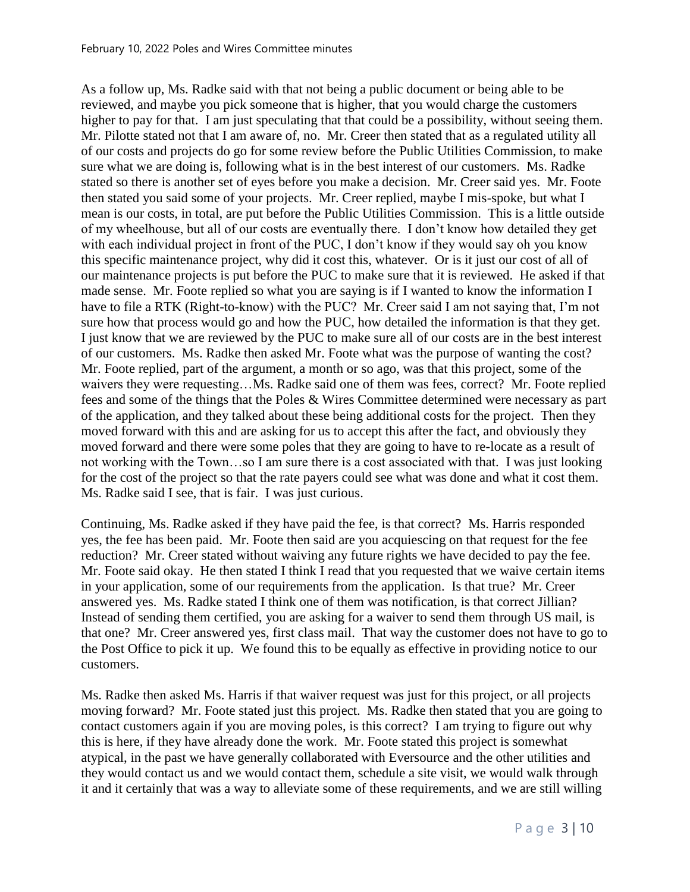As a follow up, Ms. Radke said with that not being a public document or being able to be reviewed, and maybe you pick someone that is higher, that you would charge the customers higher to pay for that. I am just speculating that that could be a possibility, without seeing them. Mr. Pilotte stated not that I am aware of, no. Mr. Creer then stated that as a regulated utility all of our costs and projects do go for some review before the Public Utilities Commission, to make sure what we are doing is, following what is in the best interest of our customers. Ms. Radke stated so there is another set of eyes before you make a decision. Mr. Creer said yes. Mr. Foote then stated you said some of your projects. Mr. Creer replied, maybe I mis-spoke, but what I mean is our costs, in total, are put before the Public Utilities Commission. This is a little outside of my wheelhouse, but all of our costs are eventually there. I don't know how detailed they get with each individual project in front of the PUC, I don't know if they would say oh you know this specific maintenance project, why did it cost this, whatever. Or is it just our cost of all of our maintenance projects is put before the PUC to make sure that it is reviewed. He asked if that made sense. Mr. Foote replied so what you are saying is if I wanted to know the information I have to file a RTK (Right-to-know) with the PUC? Mr. Creer said I am not saying that, I'm not sure how that process would go and how the PUC, how detailed the information is that they get. I just know that we are reviewed by the PUC to make sure all of our costs are in the best interest of our customers. Ms. Radke then asked Mr. Foote what was the purpose of wanting the cost? Mr. Foote replied, part of the argument, a month or so ago, was that this project, some of the waivers they were requesting…Ms. Radke said one of them was fees, correct? Mr. Foote replied fees and some of the things that the Poles & Wires Committee determined were necessary as part of the application, and they talked about these being additional costs for the project. Then they moved forward with this and are asking for us to accept this after the fact, and obviously they moved forward and there were some poles that they are going to have to re-locate as a result of not working with the Town…so I am sure there is a cost associated with that. I was just looking for the cost of the project so that the rate payers could see what was done and what it cost them. Ms. Radke said I see, that is fair. I was just curious.

Continuing, Ms. Radke asked if they have paid the fee, is that correct? Ms. Harris responded yes, the fee has been paid. Mr. Foote then said are you acquiescing on that request for the fee reduction? Mr. Creer stated without waiving any future rights we have decided to pay the fee. Mr. Foote said okay. He then stated I think I read that you requested that we waive certain items in your application, some of our requirements from the application. Is that true? Mr. Creer answered yes. Ms. Radke stated I think one of them was notification, is that correct Jillian? Instead of sending them certified, you are asking for a waiver to send them through US mail, is that one? Mr. Creer answered yes, first class mail. That way the customer does not have to go to the Post Office to pick it up. We found this to be equally as effective in providing notice to our customers.

Ms. Radke then asked Ms. Harris if that waiver request was just for this project, or all projects moving forward? Mr. Foote stated just this project. Ms. Radke then stated that you are going to contact customers again if you are moving poles, is this correct? I am trying to figure out why this is here, if they have already done the work. Mr. Foote stated this project is somewhat atypical, in the past we have generally collaborated with Eversource and the other utilities and they would contact us and we would contact them, schedule a site visit, we would walk through it and it certainly that was a way to alleviate some of these requirements, and we are still willing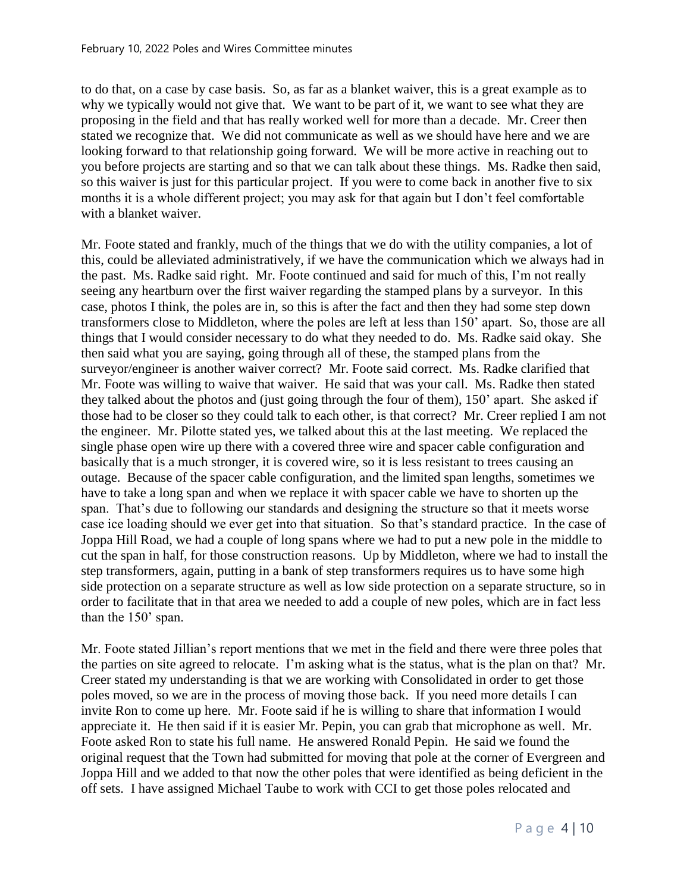to do that, on a case by case basis. So, as far as a blanket waiver, this is a great example as to why we typically would not give that. We want to be part of it, we want to see what they are proposing in the field and that has really worked well for more than a decade. Mr. Creer then stated we recognize that. We did not communicate as well as we should have here and we are looking forward to that relationship going forward. We will be more active in reaching out to you before projects are starting and so that we can talk about these things. Ms. Radke then said, so this waiver is just for this particular project. If you were to come back in another five to six months it is a whole different project; you may ask for that again but I don't feel comfortable with a blanket waiver.

Mr. Foote stated and frankly, much of the things that we do with the utility companies, a lot of this, could be alleviated administratively, if we have the communication which we always had in the past. Ms. Radke said right. Mr. Foote continued and said for much of this, I'm not really seeing any heartburn over the first waiver regarding the stamped plans by a surveyor. In this case, photos I think, the poles are in, so this is after the fact and then they had some step down transformers close to Middleton, where the poles are left at less than 150' apart. So, those are all things that I would consider necessary to do what they needed to do. Ms. Radke said okay. She then said what you are saying, going through all of these, the stamped plans from the surveyor/engineer is another waiver correct? Mr. Foote said correct. Ms. Radke clarified that Mr. Foote was willing to waive that waiver. He said that was your call. Ms. Radke then stated they talked about the photos and (just going through the four of them), 150' apart. She asked if those had to be closer so they could talk to each other, is that correct? Mr. Creer replied I am not the engineer. Mr. Pilotte stated yes, we talked about this at the last meeting. We replaced the single phase open wire up there with a covered three wire and spacer cable configuration and basically that is a much stronger, it is covered wire, so it is less resistant to trees causing an outage. Because of the spacer cable configuration, and the limited span lengths, sometimes we have to take a long span and when we replace it with spacer cable we have to shorten up the span. That's due to following our standards and designing the structure so that it meets worse case ice loading should we ever get into that situation. So that's standard practice. In the case of Joppa Hill Road, we had a couple of long spans where we had to put a new pole in the middle to cut the span in half, for those construction reasons. Up by Middleton, where we had to install the step transformers, again, putting in a bank of step transformers requires us to have some high side protection on a separate structure as well as low side protection on a separate structure, so in order to facilitate that in that area we needed to add a couple of new poles, which are in fact less than the 150' span.

Mr. Foote stated Jillian's report mentions that we met in the field and there were three poles that the parties on site agreed to relocate. I'm asking what is the status, what is the plan on that? Mr. Creer stated my understanding is that we are working with Consolidated in order to get those poles moved, so we are in the process of moving those back. If you need more details I can invite Ron to come up here. Mr. Foote said if he is willing to share that information I would appreciate it. He then said if it is easier Mr. Pepin, you can grab that microphone as well. Mr. Foote asked Ron to state his full name. He answered Ronald Pepin. He said we found the original request that the Town had submitted for moving that pole at the corner of Evergreen and Joppa Hill and we added to that now the other poles that were identified as being deficient in the off sets. I have assigned Michael Taube to work with CCI to get those poles relocated and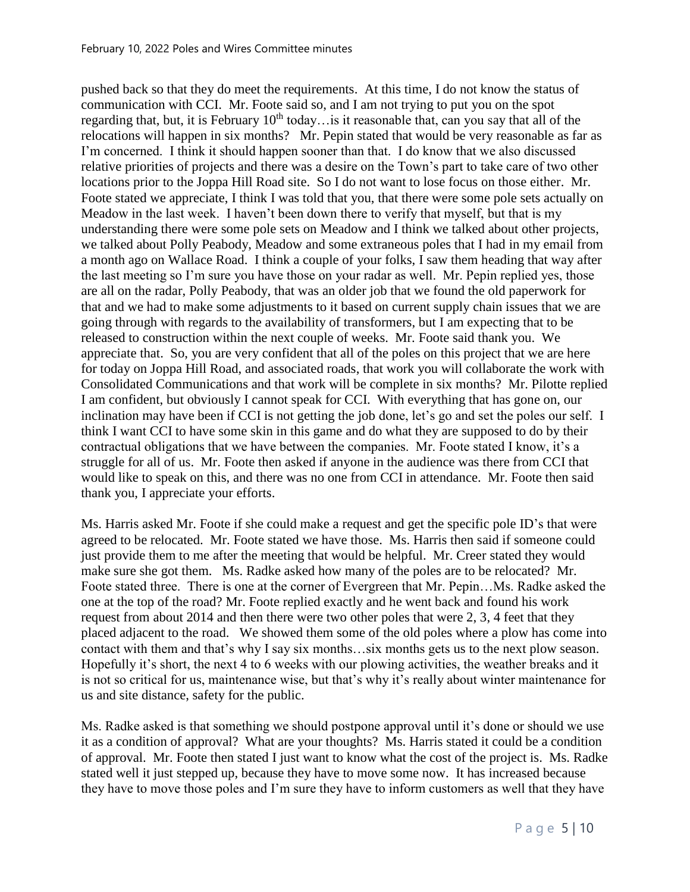pushed back so that they do meet the requirements. At this time, I do not know the status of communication with CCI. Mr. Foote said so, and I am not trying to put you on the spot regarding that, but, it is February  $10<sup>th</sup>$  today... is it reasonable that, can you say that all of the relocations will happen in six months? Mr. Pepin stated that would be very reasonable as far as I'm concerned. I think it should happen sooner than that. I do know that we also discussed relative priorities of projects and there was a desire on the Town's part to take care of two other locations prior to the Joppa Hill Road site. So I do not want to lose focus on those either. Mr. Foote stated we appreciate, I think I was told that you, that there were some pole sets actually on Meadow in the last week. I haven't been down there to verify that myself, but that is my understanding there were some pole sets on Meadow and I think we talked about other projects, we talked about Polly Peabody, Meadow and some extraneous poles that I had in my email from a month ago on Wallace Road. I think a couple of your folks, I saw them heading that way after the last meeting so I'm sure you have those on your radar as well. Mr. Pepin replied yes, those are all on the radar, Polly Peabody, that was an older job that we found the old paperwork for that and we had to make some adjustments to it based on current supply chain issues that we are going through with regards to the availability of transformers, but I am expecting that to be released to construction within the next couple of weeks. Mr. Foote said thank you. We appreciate that. So, you are very confident that all of the poles on this project that we are here for today on Joppa Hill Road, and associated roads, that work you will collaborate the work with Consolidated Communications and that work will be complete in six months? Mr. Pilotte replied I am confident, but obviously I cannot speak for CCI. With everything that has gone on, our inclination may have been if CCI is not getting the job done, let's go and set the poles our self. I think I want CCI to have some skin in this game and do what they are supposed to do by their contractual obligations that we have between the companies. Mr. Foote stated I know, it's a struggle for all of us. Mr. Foote then asked if anyone in the audience was there from CCI that would like to speak on this, and there was no one from CCI in attendance. Mr. Foote then said thank you, I appreciate your efforts.

Ms. Harris asked Mr. Foote if she could make a request and get the specific pole ID's that were agreed to be relocated. Mr. Foote stated we have those. Ms. Harris then said if someone could just provide them to me after the meeting that would be helpful. Mr. Creer stated they would make sure she got them. Ms. Radke asked how many of the poles are to be relocated? Mr. Foote stated three. There is one at the corner of Evergreen that Mr. Pepin…Ms. Radke asked the one at the top of the road? Mr. Foote replied exactly and he went back and found his work request from about 2014 and then there were two other poles that were 2, 3, 4 feet that they placed adjacent to the road. We showed them some of the old poles where a plow has come into contact with them and that's why I say six months…six months gets us to the next plow season. Hopefully it's short, the next 4 to 6 weeks with our plowing activities, the weather breaks and it is not so critical for us, maintenance wise, but that's why it's really about winter maintenance for us and site distance, safety for the public.

Ms. Radke asked is that something we should postpone approval until it's done or should we use it as a condition of approval? What are your thoughts? Ms. Harris stated it could be a condition of approval. Mr. Foote then stated I just want to know what the cost of the project is. Ms. Radke stated well it just stepped up, because they have to move some now. It has increased because they have to move those poles and I'm sure they have to inform customers as well that they have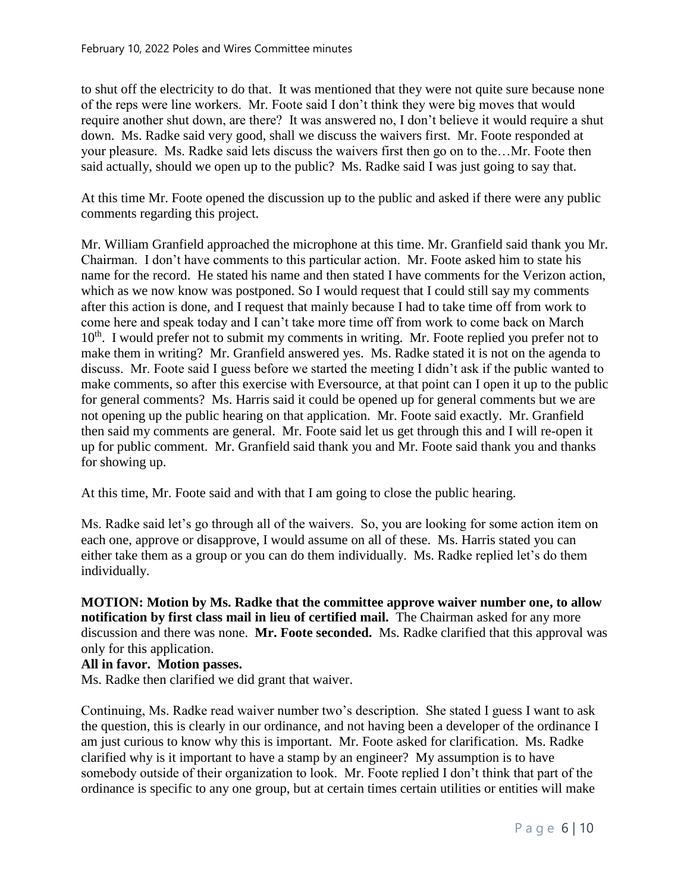to shut off the electricity to do that. It was mentioned that they were not quite sure because none of the reps were line workers. Mr. Foote said I don't think they were big moves that would require another shut down, are there? It was answered no, I don't believe it would require a shut down. Ms. Radke said very good, shall we discuss the waivers first. Mr. Foote responded at your pleasure. Ms. Radke said lets discuss the waivers first then go on to the…Mr. Foote then said actually, should we open up to the public? Ms. Radke said I was just going to say that.

At this time Mr. Foote opened the discussion up to the public and asked if there were any public comments regarding this project.

Mr. William Granfield approached the microphone at this time. Mr. Granfield said thank you Mr. Chairman. I don't have comments to this particular action. Mr. Foote asked him to state his name for the record. He stated his name and then stated I have comments for the Verizon action, which as we now know was postponed. So I would request that I could still say my comments after this action is done, and I request that mainly because I had to take time off from work to come here and speak today and I can't take more time off from work to come back on March  $10<sup>th</sup>$ . I would prefer not to submit my comments in writing. Mr. Foote replied you prefer not to make them in writing? Mr. Granfield answered yes. Ms. Radke stated it is not on the agenda to discuss. Mr. Foote said I guess before we started the meeting I didn't ask if the public wanted to make comments, so after this exercise with Eversource, at that point can I open it up to the public for general comments? Ms. Harris said it could be opened up for general comments but we are not opening up the public hearing on that application. Mr. Foote said exactly. Mr. Granfield then said my comments are general. Mr. Foote said let us get through this and I will re-open it up for public comment. Mr. Granfield said thank you and Mr. Foote said thank you and thanks for showing up.

At this time, Mr. Foote said and with that I am going to close the public hearing.

Ms. Radke said let's go through all of the waivers. So, you are looking for some action item on each one, approve or disapprove, I would assume on all of these. Ms. Harris stated you can either take them as a group or you can do them individually. Ms. Radke replied let's do them individually.

**MOTION: Motion by Ms. Radke that the committee approve waiver number one, to allow notification by first class mail in lieu of certified mail.** The Chairman asked for any more discussion and there was none. **Mr. Foote seconded.** Ms. Radke clarified that this approval was only for this application.

#### **All in favor. Motion passes.**

Ms. Radke then clarified we did grant that waiver.

Continuing, Ms. Radke read waiver number two's description. She stated I guess I want to ask the question, this is clearly in our ordinance, and not having been a developer of the ordinance I am just curious to know why this is important. Mr. Foote asked for clarification. Ms. Radke clarified why is it important to have a stamp by an engineer? My assumption is to have somebody outside of their organization to look. Mr. Foote replied I don't think that part of the ordinance is specific to any one group, but at certain times certain utilities or entities will make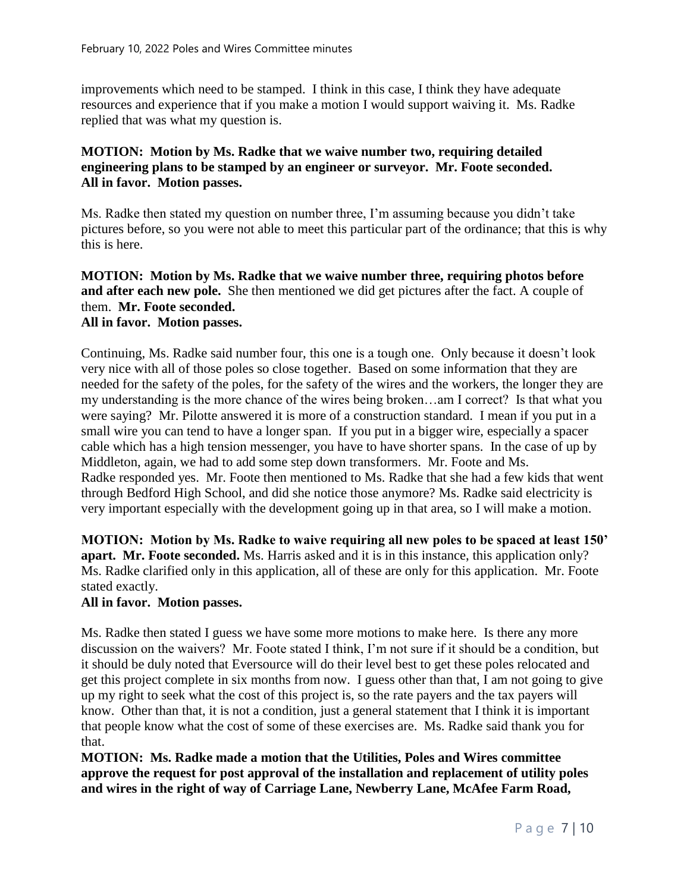improvements which need to be stamped. I think in this case, I think they have adequate resources and experience that if you make a motion I would support waiving it. Ms. Radke replied that was what my question is.

## **MOTION: Motion by Ms. Radke that we waive number two, requiring detailed engineering plans to be stamped by an engineer or surveyor. Mr. Foote seconded. All in favor. Motion passes.**

Ms. Radke then stated my question on number three, I'm assuming because you didn't take pictures before, so you were not able to meet this particular part of the ordinance; that this is why this is here.

**MOTION: Motion by Ms. Radke that we waive number three, requiring photos before and after each new pole.** She then mentioned we did get pictures after the fact. A couple of them. **Mr. Foote seconded.**

# **All in favor. Motion passes.**

Continuing, Ms. Radke said number four, this one is a tough one. Only because it doesn't look very nice with all of those poles so close together. Based on some information that they are needed for the safety of the poles, for the safety of the wires and the workers, the longer they are my understanding is the more chance of the wires being broken…am I correct? Is that what you were saying? Mr. Pilotte answered it is more of a construction standard. I mean if you put in a small wire you can tend to have a longer span. If you put in a bigger wire, especially a spacer cable which has a high tension messenger, you have to have shorter spans. In the case of up by Middleton, again, we had to add some step down transformers. Mr. Foote and Ms. Radke responded yes. Mr. Foote then mentioned to Ms. Radke that she had a few kids that went through Bedford High School, and did she notice those anymore? Ms. Radke said electricity is very important especially with the development going up in that area, so I will make a motion.

**MOTION: Motion by Ms. Radke to waive requiring all new poles to be spaced at least 150' apart. Mr. Foote seconded.** Ms. Harris asked and it is in this instance, this application only? Ms. Radke clarified only in this application, all of these are only for this application. Mr. Foote stated exactly.

#### **All in favor. Motion passes.**

Ms. Radke then stated I guess we have some more motions to make here. Is there any more discussion on the waivers? Mr. Foote stated I think, I'm not sure if it should be a condition, but it should be duly noted that Eversource will do their level best to get these poles relocated and get this project complete in six months from now. I guess other than that, I am not going to give up my right to seek what the cost of this project is, so the rate payers and the tax payers will know. Other than that, it is not a condition, just a general statement that I think it is important that people know what the cost of some of these exercises are. Ms. Radke said thank you for that.

**MOTION: Ms. Radke made a motion that the Utilities, Poles and Wires committee approve the request for post approval of the installation and replacement of utility poles and wires in the right of way of Carriage Lane, Newberry Lane, McAfee Farm Road,**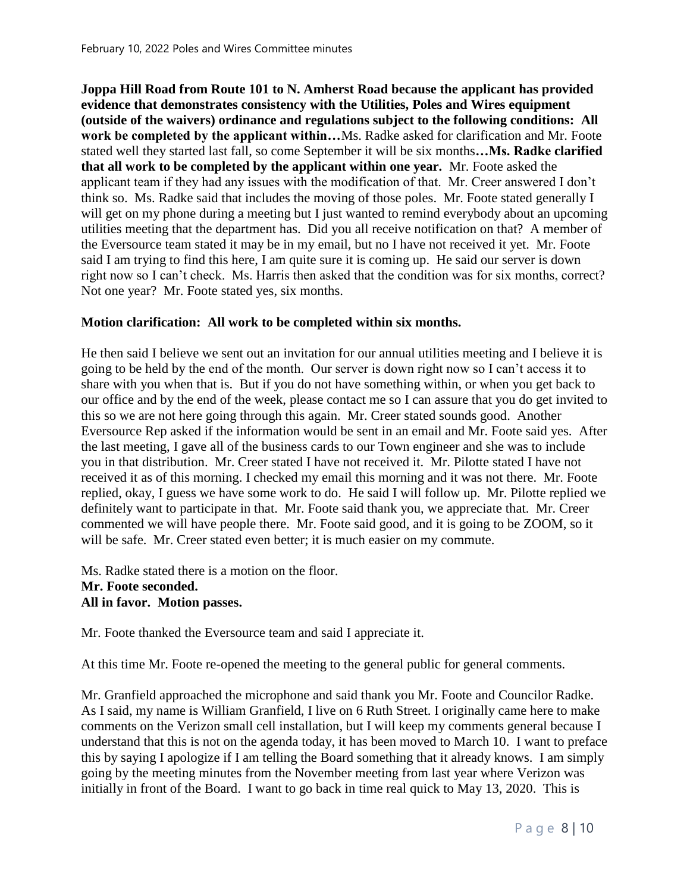**Joppa Hill Road from Route 101 to N. Amherst Road because the applicant has provided evidence that demonstrates consistency with the Utilities, Poles and Wires equipment (outside of the waivers) ordinance and regulations subject to the following conditions: All work be completed by the applicant within…**Ms. Radke asked for clarification and Mr. Foote stated well they started last fall, so come September it will be six months**…Ms. Radke clarified that all work to be completed by the applicant within one year.** Mr. Foote asked the applicant team if they had any issues with the modification of that. Mr. Creer answered I don't think so. Ms. Radke said that includes the moving of those poles. Mr. Foote stated generally I will get on my phone during a meeting but I just wanted to remind everybody about an upcoming utilities meeting that the department has. Did you all receive notification on that? A member of the Eversource team stated it may be in my email, but no I have not received it yet. Mr. Foote said I am trying to find this here, I am quite sure it is coming up. He said our server is down right now so I can't check. Ms. Harris then asked that the condition was for six months, correct? Not one year? Mr. Foote stated yes, six months.

#### **Motion clarification: All work to be completed within six months.**

He then said I believe we sent out an invitation for our annual utilities meeting and I believe it is going to be held by the end of the month. Our server is down right now so I can't access it to share with you when that is. But if you do not have something within, or when you get back to our office and by the end of the week, please contact me so I can assure that you do get invited to this so we are not here going through this again. Mr. Creer stated sounds good. Another Eversource Rep asked if the information would be sent in an email and Mr. Foote said yes. After the last meeting, I gave all of the business cards to our Town engineer and she was to include you in that distribution. Mr. Creer stated I have not received it. Mr. Pilotte stated I have not received it as of this morning. I checked my email this morning and it was not there. Mr. Foote replied, okay, I guess we have some work to do. He said I will follow up. Mr. Pilotte replied we definitely want to participate in that. Mr. Foote said thank you, we appreciate that. Mr. Creer commented we will have people there. Mr. Foote said good, and it is going to be ZOOM, so it will be safe. Mr. Creer stated even better; it is much easier on my commute.

Ms. Radke stated there is a motion on the floor. **Mr. Foote seconded. All in favor. Motion passes.**

Mr. Foote thanked the Eversource team and said I appreciate it.

At this time Mr. Foote re-opened the meeting to the general public for general comments.

Mr. Granfield approached the microphone and said thank you Mr. Foote and Councilor Radke. As I said, my name is William Granfield, I live on 6 Ruth Street. I originally came here to make comments on the Verizon small cell installation, but I will keep my comments general because I understand that this is not on the agenda today, it has been moved to March 10. I want to preface this by saying I apologize if I am telling the Board something that it already knows. I am simply going by the meeting minutes from the November meeting from last year where Verizon was initially in front of the Board. I want to go back in time real quick to May 13, 2020. This is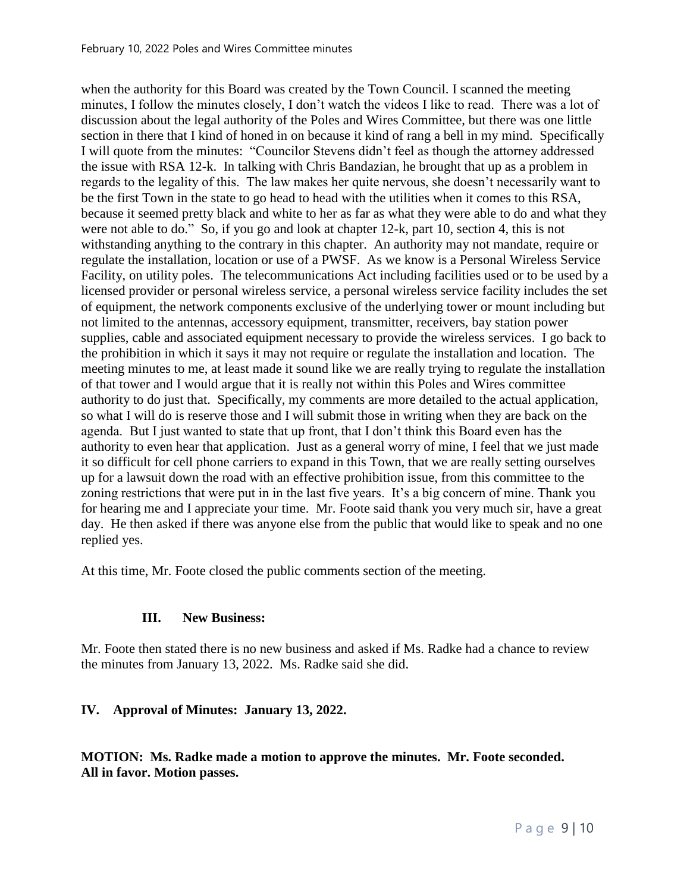when the authority for this Board was created by the Town Council. I scanned the meeting minutes, I follow the minutes closely, I don't watch the videos I like to read. There was a lot of discussion about the legal authority of the Poles and Wires Committee, but there was one little section in there that I kind of honed in on because it kind of rang a bell in my mind. Specifically I will quote from the minutes: "Councilor Stevens didn't feel as though the attorney addressed the issue with RSA 12-k. In talking with Chris Bandazian, he brought that up as a problem in regards to the legality of this. The law makes her quite nervous, she doesn't necessarily want to be the first Town in the state to go head to head with the utilities when it comes to this RSA, because it seemed pretty black and white to her as far as what they were able to do and what they were not able to do." So, if you go and look at chapter 12-k, part 10, section 4, this is not withstanding anything to the contrary in this chapter. An authority may not mandate, require or regulate the installation, location or use of a PWSF. As we know is a Personal Wireless Service Facility, on utility poles. The telecommunications Act including facilities used or to be used by a licensed provider or personal wireless service, a personal wireless service facility includes the set of equipment, the network components exclusive of the underlying tower or mount including but not limited to the antennas, accessory equipment, transmitter, receivers, bay station power supplies, cable and associated equipment necessary to provide the wireless services. I go back to the prohibition in which it says it may not require or regulate the installation and location. The meeting minutes to me, at least made it sound like we are really trying to regulate the installation of that tower and I would argue that it is really not within this Poles and Wires committee authority to do just that. Specifically, my comments are more detailed to the actual application, so what I will do is reserve those and I will submit those in writing when they are back on the agenda. But I just wanted to state that up front, that I don't think this Board even has the authority to even hear that application. Just as a general worry of mine, I feel that we just made it so difficult for cell phone carriers to expand in this Town, that we are really setting ourselves up for a lawsuit down the road with an effective prohibition issue, from this committee to the zoning restrictions that were put in in the last five years. It's a big concern of mine. Thank you for hearing me and I appreciate your time. Mr. Foote said thank you very much sir, have a great day. He then asked if there was anyone else from the public that would like to speak and no one replied yes.

At this time, Mr. Foote closed the public comments section of the meeting.

# **III. New Business:**

Mr. Foote then stated there is no new business and asked if Ms. Radke had a chance to review the minutes from January 13, 2022. Ms. Radke said she did.

# **IV. Approval of Minutes: January 13, 2022.**

**MOTION: Ms. Radke made a motion to approve the minutes. Mr. Foote seconded. All in favor. Motion passes.**